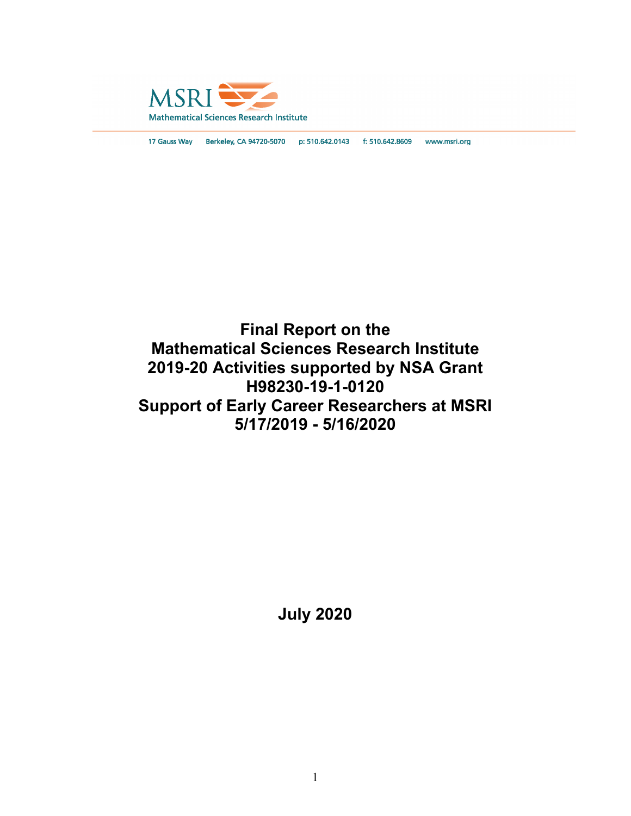

17 Gauss Way Berkeley, CA 94720-5070 p: 510.642.0143 f: 510.642.8609 www.msri.org

# **Final Report on the Mathematical Sciences Research Institute 2019-20 Activities supported by NSA Grant H98230-19-1-0120 Support of Early Career Researchers at MSRI 5/17/2019 - 5/16/2020**

**July 2020**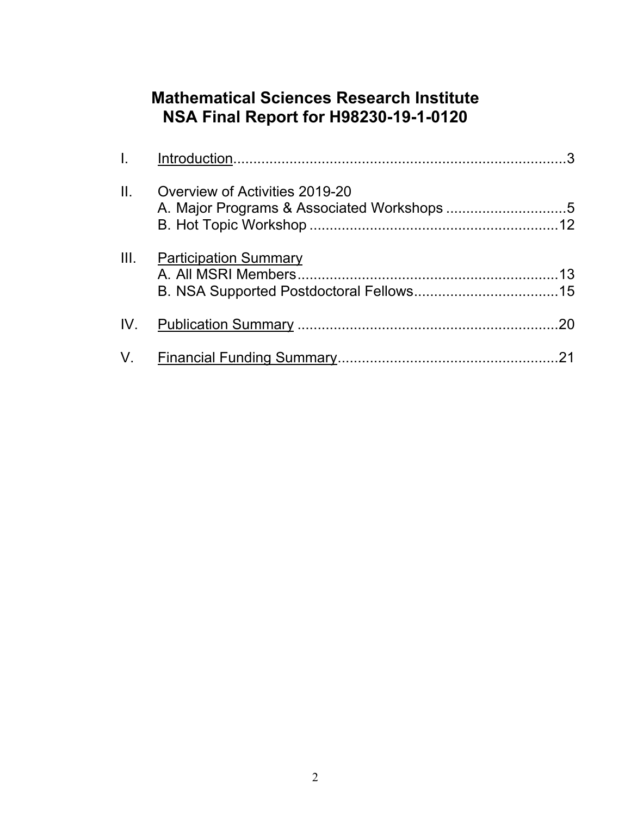# **Mathematical Sciences Research Institute NSA Final Report for H98230-19-1-0120**

| $\Pi$ . | Overview of Activities 2019-20 |     |
|---------|--------------------------------|-----|
| III.    | <u>Participation Summary</u>   |     |
|         |                                | .20 |
|         |                                |     |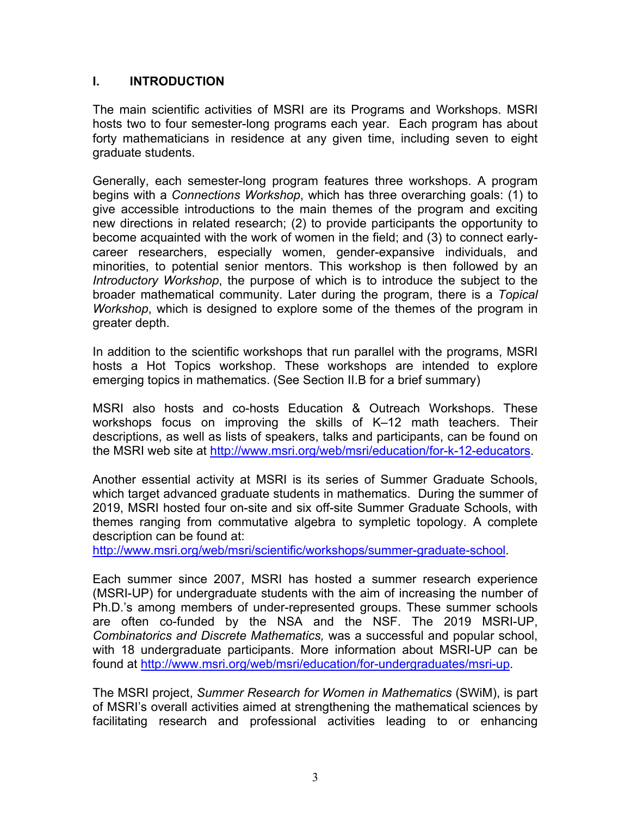#### **I. INTRODUCTION**

The main scientific activities of MSRI are its Programs and Workshops. MSRI hosts two to four semester-long programs each year. Each program has about forty mathematicians in residence at any given time, including seven to eight graduate students.

Generally, each semester-long program features three workshops. A program begins with a *Connections Workshop*, which has three overarching goals: (1) to give accessible introductions to the main themes of the program and exciting new directions in related research; (2) to provide participants the opportunity to become acquainted with the work of women in the field; and (3) to connect earlycareer researchers, especially women, gender-expansive individuals, and minorities, to potential senior mentors. This workshop is then followed by an *Introductory Workshop*, the purpose of which is to introduce the subject to the broader mathematical community. Later during the program, there is a *Topical Workshop*, which is designed to explore some of the themes of the program in greater depth.

In addition to the scientific workshops that run parallel with the programs, MSRI hosts a Hot Topics workshop. These workshops are intended to explore emerging topics in mathematics. (See Section II.B for a brief summary)

MSRI also hosts and co-hosts Education & Outreach Workshops. These workshops focus on improving the skills of K–12 math teachers. Their descriptions, as well as lists of speakers, talks and participants, can be found on the MSRI web site at [http://www.msri.org/web/msri/education/for-k-12-educators.](http://www.msri.org/web/msri/education/for-k-12-educators)

Another essential activity at MSRI is its series of Summer Graduate Schools, which target advanced graduate students in mathematics. During the summer of 2019, MSRI hosted four on-site and six off-site Summer Graduate Schools, with themes ranging from commutative algebra to sympletic topology. A complete description can be found at:

[http://www.msri.org/web/msri/scientific/workshops/summer-graduate-school.](http://www.msri.org/web/msri/scientific/workshops/summer-graduate-school)

Each summer since 2007, MSRI has hosted a summer research experience (MSRI-UP) for undergraduate students with the aim of increasing the number of Ph.D.'s among members of under-represented groups. These summer schools are often co-funded by the NSA and the NSF. The 2019 MSRI-UP, *Combinatorics and Discrete Mathematics,* was a successful and popular school, with 18 undergraduate participants. More information about MSRI-UP can be found at [http://www.msri.org/web/msri/education/for-undergraduates/msri-up.](http://www.msri.org/web/msri/education/for-undergraduates/msri-up)

The MSRI project, *Summer Research for Women in Mathematics* (SWiM), is part of MSRI's overall activities aimed at strengthening the mathematical sciences by facilitating research and professional activities leading to or enhancing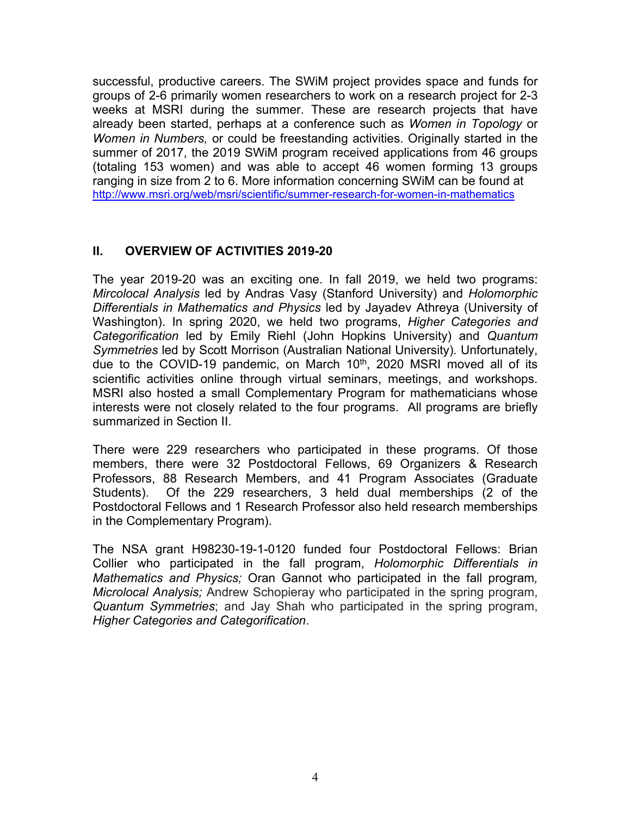successful, productive careers. The SWiM project provides space and funds for groups of 2-6 primarily women researchers to work on a research project for 2-3 weeks at MSRI during the summer. These are research projects that have already been started, perhaps at a conference such as *Women in Topology* or *Women in Numbers,* or could be freestanding activities. Originally started in the summer of 2017, the 2019 SWiM program received applications from 46 groups (totaling 153 women) and was able to accept 46 women forming 13 groups ranging in size from 2 to 6. More information concerning SWiM can be found at <http://www.msri.org/web/msri/scientific/summer-research-for-women-in-mathematics>

#### **II. OVERVIEW OF ACTIVITIES 2019-20**

The year 2019-20 was an exciting one. In fall 2019, we held two programs: *Mircolocal Analysis* led by Andras Vasy (Stanford University) and *Holomorphic Differentials in Mathematics and Physics* led by Jayadev Athreya (University of Washington). In spring 2020, we held two programs, *Higher Categories and Categorification* led by Emily Riehl (John Hopkins University) and *Quantum Symmetries* led by Scott Morrison (Australian National University)*.* Unfortunately, due to the COVID-19 pandemic, on March 10<sup>th</sup>, 2020 MSRI moved all of its scientific activities online through virtual seminars, meetings, and workshops. MSRI also hosted a small Complementary Program for mathematicians whose interests were not closely related to the four programs. All programs are briefly summarized in Section II.

There were 229 researchers who participated in these programs. Of those members, there were 32 Postdoctoral Fellows, 69 Organizers & Research Professors, 88 Research Members, and 41 Program Associates (Graduate Students). Of the 229 researchers, 3 held dual memberships (2 of the Postdoctoral Fellows and 1 Research Professor also held research memberships in the Complementary Program).

The NSA grant H98230-19-1-0120 funded four Postdoctoral Fellows: Brian Collier who participated in the fall program, *Holomorphic Differentials in Mathematics and Physics;* Oran Gannot who participated in the fall program*, Microlocal Analysis;* Andrew Schopieray who participated in the spring program, *Quantum Symmetries*; and Jay Shah who participated in the spring program, *Higher Categories and Categorification*.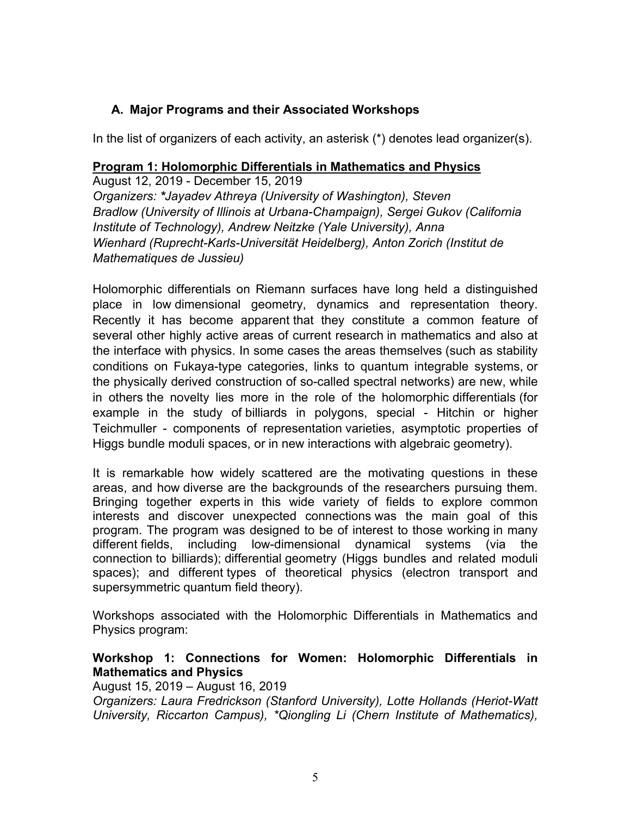#### **A. Major Programs and their Associated Workshops**

In the list of organizers of each activity, an asterisk (\*) denotes lead organizer(s).

#### **Program 1: Holomorphic Differentials in Mathematics and Physics**

August 12, 2019 - December 15, 2019 *Organizers: \*[Jayadev Athreya](https://www.msri.org/people/17472) (University of Washington), [Steven](https://www.msri.org/people/32040)  [Bradlow](https://www.msri.org/people/32040) (University of Illinois at Urbana-Champaign), [Sergei Gukov](https://www.msri.org/people/31768) (California Institute of Technology), [Andrew Neitzke](https://www.msri.org/people/16161) (Yale University), [Anna](https://www.msri.org/people/12614)  [Wienhard](https://www.msri.org/people/12614) (Ruprecht-Karls-Universität Heidelberg), [Anton Zorich](https://www.msri.org/people/8846) (Institut de Mathematiques de Jussieu)*

Holomorphic differentials on Riemann surfaces have long held a distinguished place in low dimensional geometry, dynamics and representation theory. Recently it has become apparent that they constitute a common feature of several other highly active areas of current research in mathematics and also at the interface with physics. In some cases the areas themselves (such as stability conditions on Fukaya-type categories, links to quantum integrable systems, or the physically derived construction of so-called spectral networks) are new, while in others the novelty lies more in the role of the holomorphic differentials (for example in the study of billiards in polygons, special - Hitchin or higher Teichmuller - components of representation varieties, asymptotic properties of Higgs bundle moduli spaces, or in new interactions with algebraic geometry).

It is remarkable how widely scattered are the motivating questions in these areas, and how diverse are the backgrounds of the researchers pursuing them. Bringing together experts in this wide variety of fields to explore common interests and discover unexpected connections was the main goal of this program. The program was designed to be of interest to those working in many different fields, including low-dimensional dynamical systems (via the connection to billiards); differential geometry (Higgs bundles and related moduli spaces); and different types of theoretical physics (electron transport and supersymmetric quantum field theory).

Workshops associated with the Holomorphic Differentials in Mathematics and Physics program:

#### **Workshop 1: Connections for Women: Holomorphic Differentials in Mathematics and Physics**

August 15, 2019 – August 16, 2019 *Organizers: Laura Fredrickson (Stanford University), Lotte Hollands (Heriot-Watt University, Riccarton Campus), \*Qiongling Li (Chern Institute of Mathematics),*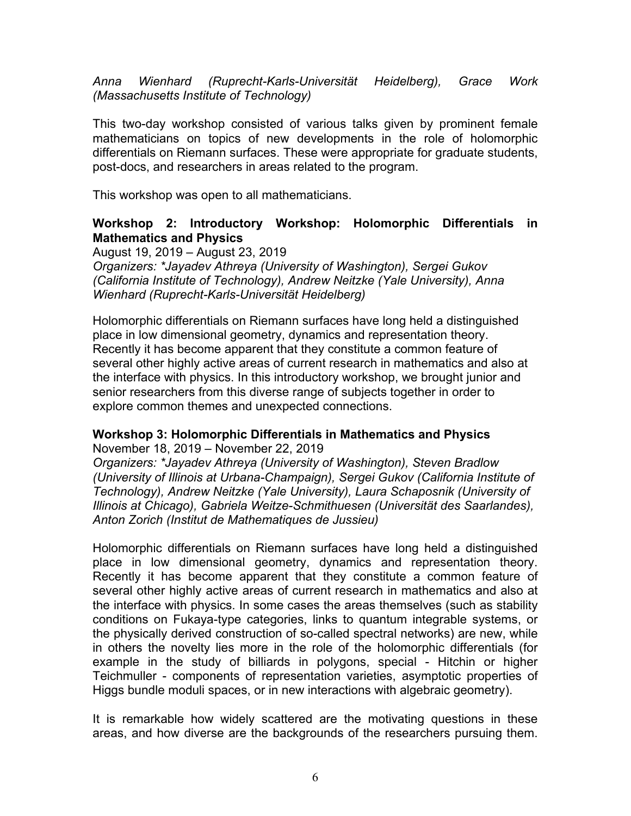*Anna Wienhard (Ruprecht-Karls-Universität Heidelberg), Grace Work (Massachusetts Institute of Technology)*

This two-day workshop consisted of various talks given by prominent female mathematicians on topics of new developments in the role of holomorphic differentials on Riemann surfaces. These were appropriate for graduate students, post-docs, and researchers in areas related to the program.

This workshop was open to all mathematicians.

#### **Workshop 2: Introductory Workshop: Holomorphic Differentials in Mathematics and Physics**

August 19, 2019 – August 23, 2019

*Organizers: \*Jayadev Athreya (University of Washington), Sergei Gukov (California Institute of Technology), Andrew Neitzke (Yale University), Anna Wienhard (Ruprecht-Karls-Universität Heidelberg)*

Holomorphic differentials on Riemann surfaces have long held a distinguished place in low dimensional geometry, dynamics and representation theory. Recently it has become apparent that they constitute a common feature of several other highly active areas of current research in mathematics and also at the interface with physics. In this introductory workshop, we brought junior and senior researchers from this diverse range of subjects together in order to explore common themes and unexpected connections.

#### **Workshop 3: Holomorphic Differentials in Mathematics and Physics**

November 18, 2019 – November 22, 2019

*Organizers: \*Jayadev Athreya (University of Washington), Steven Bradlow (University of Illinois at Urbana-Champaign), Sergei Gukov (California Institute of Technology), Andrew Neitzke (Yale University), Laura Schaposnik (University of Illinois at Chicago), Gabriela Weitze-Schmithuesen (Universität des Saarlandes), Anton Zorich (Institut de Mathematiques de Jussieu)*

Holomorphic differentials on Riemann surfaces have long held a distinguished place in low dimensional geometry, dynamics and representation theory. Recently it has become apparent that they constitute a common feature of several other highly active areas of current research in mathematics and also at the interface with physics. In some cases the areas themselves (such as stability conditions on Fukaya-type categories, links to quantum integrable systems, or the physically derived construction of so-called spectral networks) are new, while in others the novelty lies more in the role of the holomorphic differentials (for example in the study of billiards in polygons, special - Hitchin or higher Teichmuller - components of representation varieties, asymptotic properties of Higgs bundle moduli spaces, or in new interactions with algebraic geometry).

It is remarkable how widely scattered are the motivating questions in these areas, and how diverse are the backgrounds of the researchers pursuing them.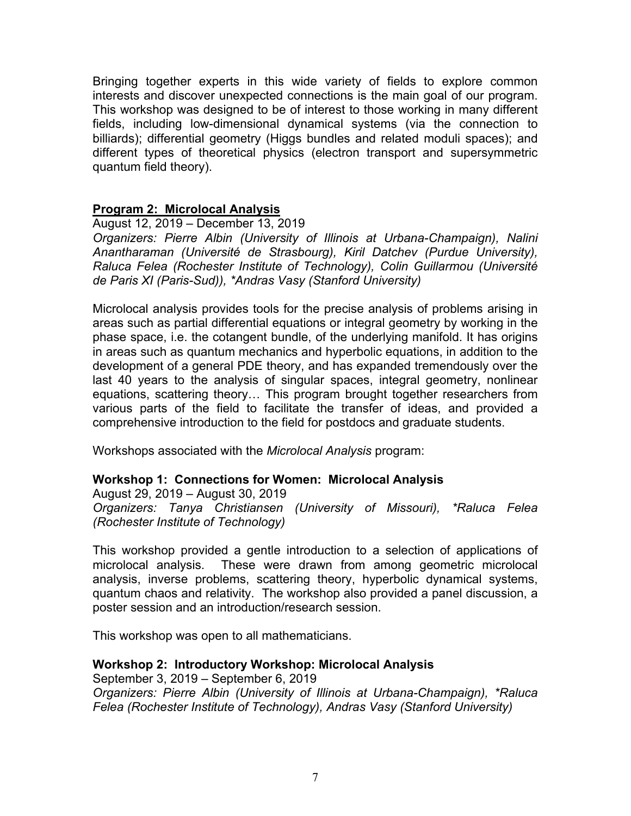Bringing together experts in this wide variety of fields to explore common interests and discover unexpected connections is the main goal of our program. This workshop was designed to be of interest to those working in many different fields, including low-dimensional dynamical systems (via the connection to billiards); differential geometry (Higgs bundles and related moduli spaces); and different types of theoretical physics (electron transport and supersymmetric quantum field theory).

#### **Program 2: Microlocal Analysis**

August 12, 2019 – December 13, 2019

*Organizers: Pierre Albin (University of Illinois at Urbana-Champaign), Nalini Anantharaman (Université de Strasbourg), Kiril Datchev (Purdue University), Raluca Felea (Rochester Institute of Technology), Colin Guillarmou (Université de Paris XI (Paris-Sud)), \*Andras Vasy (Stanford University)*

Microlocal analysis provides tools for the precise analysis of problems arising in areas such as partial differential equations or integral geometry by working in the phase space, i.e. the cotangent bundle, of the underlying manifold. It has origins in areas such as quantum mechanics and hyperbolic equations, in addition to the development of a general PDE theory, and has expanded tremendously over the last 40 years to the analysis of singular spaces, integral geometry, nonlinear equations, scattering theory… This program brought together researchers from various parts of the field to facilitate the transfer of ideas, and provided a comprehensive introduction to the field for postdocs and graduate students.

Workshops associated with the *Microlocal Analysis* program:

#### **Workshop 1: Connections for Women: Microlocal Analysis**

August 29, 2019 – August 30, 2019 *Organizers: Tanya Christiansen (University of Missouri), \*Raluca Felea (Rochester Institute of Technology)*

This workshop provided a gentle introduction to a selection of applications of microlocal analysis. These were drawn from among geometric microlocal analysis, inverse problems, scattering theory, hyperbolic dynamical systems, quantum chaos and relativity. The workshop also provided a panel discussion, a poster session and an introduction/research session.

This workshop was open to all mathematicians.

#### **Workshop 2: Introductory Workshop: Microlocal Analysis**

September 3, 2019 – September 6, 2019 *[Organizers:](mailto:jeb2md@virginia.edu) Pierre Albin (University of Illinois at Urbana-Champaign), \*Raluca Felea (Rochester Institute of Technology), Andras Vasy (Stanford University)*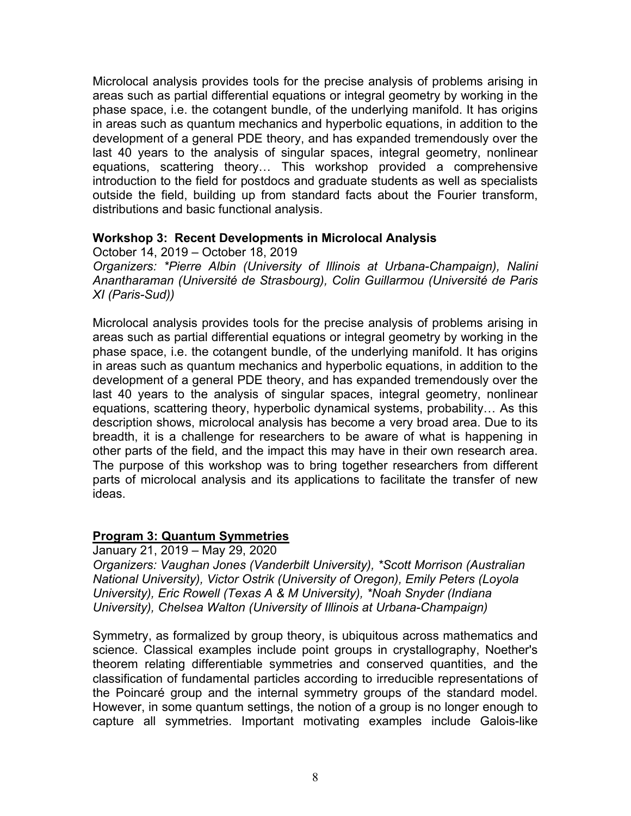Microlocal analysis provides tools for the precise analysis of problems arising in areas such as partial differential equations or integral geometry by working in the phase space, i.e. the cotangent bundle, of the underlying manifold. It has origins in areas such as quantum mechanics and hyperbolic equations, in addition to the development of a general PDE theory, and has expanded tremendously over the last 40 years to the analysis of singular spaces, integral geometry, nonlinear equations, scattering theory… This workshop provided a comprehensive introduction to the field for postdocs and graduate students as well as specialists outside the field, building up from standard facts about the Fourier transform, distributions and basic functional analysis.

#### **Workshop 3: Recent Developments in Microlocal Analysis**

October 14, 2019 – October 18, 2019 *Organizers: \*Pierre Albin (University of Illinois at Urbana-Champaign), Nalini Anantharaman (Université de Strasbourg), Colin Guillarmou (Université de Paris XI (Paris-Sud))*

Microlocal analysis provides tools for the precise analysis of problems arising in areas such as partial differential equations or integral geometry by working in the phase space, i.e. the cotangent bundle, of the underlying manifold. It has origins in areas such as quantum mechanics and hyperbolic equations, in addition to the development of a general PDE theory, and has expanded tremendously over the last 40 years to the analysis of singular spaces, integral geometry, nonlinear equations, scattering theory, hyperbolic dynamical systems, probability… As this description shows, microlocal analysis has become a very broad area. Due to its breadth, it is a challenge for researchers to be aware of what is happening in other parts of the field, and the impact this may have in their own research area. The purpose of this workshop was to bring together researchers from different parts of microlocal analysis and its applications to facilitate the transfer of new ideas.

#### **Program 3: Quantum Symmetries**

January 21, 2019 – May 29, 2020 *Organizers: Vaughan Jones (Vanderbilt University), \*Scott Morrison (Australian National University), Victor Ostrik (University of Oregon), Emily Peters (Loyola University), Eric Rowell (Texas A & M University), \*Noah Snyder (Indiana University), Chelsea Walton (University of Illinois at Urbana-Champaign)*

Symmetry, as formalized by group theory, is ubiquitous across mathematics and science. Classical examples include point groups in crystallography, Noether's theorem relating differentiable symmetries and conserved quantities, and the classification of fundamental particles according to irreducible representations of the Poincaré group and the internal symmetry groups of the standard model. However, in some quantum settings, the notion of a group is no longer enough to capture all symmetries. Important motivating examples include Galois-like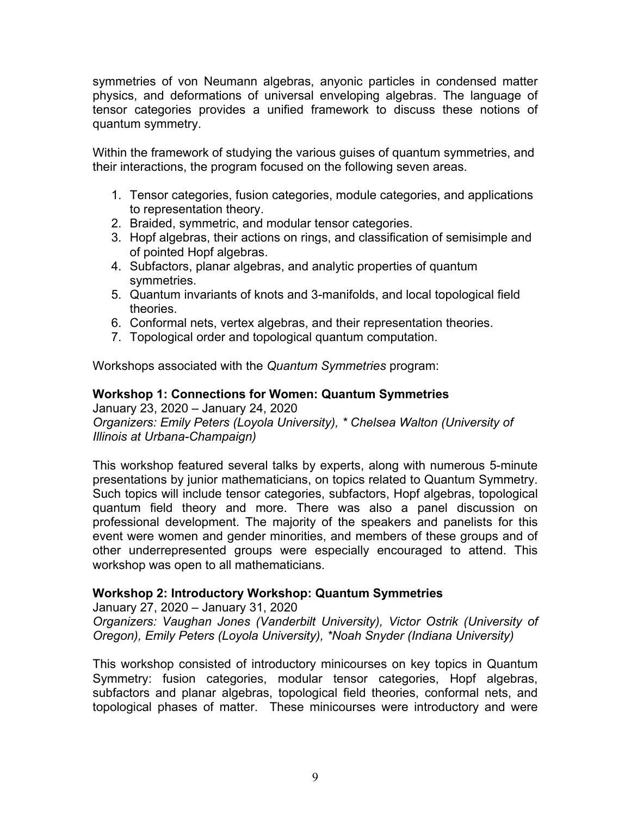symmetries of von Neumann algebras, anyonic particles in condensed matter physics, and deformations of universal enveloping algebras. The language of tensor categories provides a unified framework to discuss these notions of quantum symmetry.

Within the framework of studying the various guises of quantum symmetries, and their interactions, the program focused on the following seven areas.

- 1. Tensor categories, fusion categories, module categories, and applications to representation theory.
- 2. Braided, symmetric, and modular tensor categories.
- 3. Hopf algebras, their actions on rings, and classification of semisimple and of pointed Hopf algebras.
- 4. Subfactors, planar algebras, and analytic properties of quantum symmetries.
- 5. Quantum invariants of knots and 3-manifolds, and local topological field theories.
- 6. Conformal nets, vertex algebras, and their representation theories.
- 7. Topological order and topological quantum computation.

Workshops associated with the *Quantum Symmetries* program:

#### **Workshop 1: Connections for Women: Quantum Symmetries**

January 23, 2020 – January 24, 2020 *Organizers: Emily Peters (Loyola University), \* Chelsea Walton (University of Illinois at Urbana-Champaign)*

This workshop featured several talks by experts, along with numerous 5-minute presentations by junior mathematicians, on topics related to Quantum Symmetry. Such topics will include tensor categories, subfactors, Hopf algebras, topological quantum field theory and more. There was also a panel discussion on professional development. The majority of the speakers and panelists for this event were women and gender minorities, and members of these groups and of other underrepresented groups were especially encouraged to attend. This workshop was open to all mathematicians.

#### **Workshop 2: Introductory Workshop: Quantum Symmetries**

January 27, 2020 – January 31, 2020 *Organizers: Vaughan Jones (Vanderbilt University), Victor Ostrik (University of Oregon), Emily Peters (Loyola University), \*Noah Snyder (Indiana University)*

This workshop consisted of introductory minicourses on key topics in Quantum Symmetry: fusion categories, modular tensor categories, Hopf algebras, subfactors and planar algebras, topological field theories, conformal nets, and topological phases of matter. These minicourses were introductory and were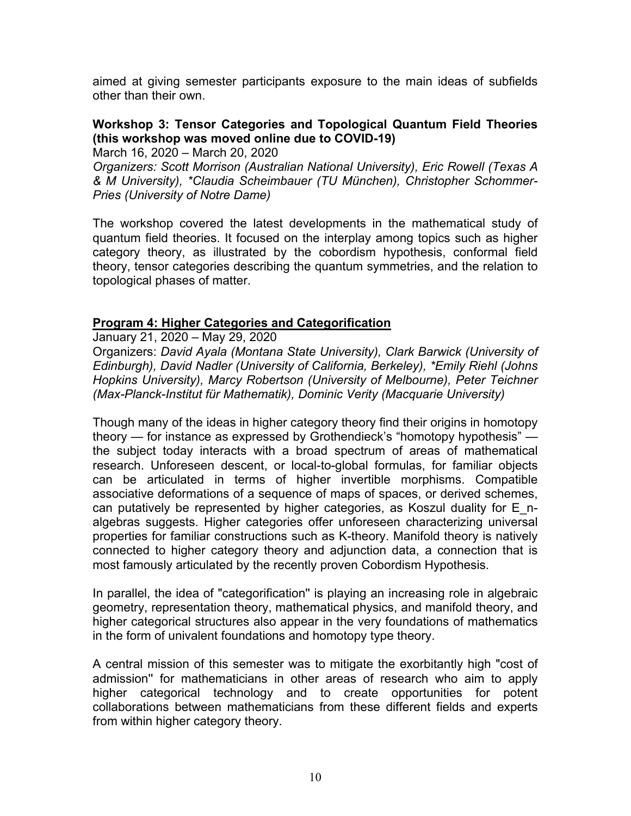aimed at giving semester participants exposure to the main ideas of subfields other than their own.

#### **Workshop 3: Tensor Categories and Topological Quantum Field Theories (this workshop was moved online due to COVID-19)**

March 16, 2020 – March 20, 2020

*Organizers: Scott Morrison (Australian National University), Eric Rowell (Texas A & M University), \*Claudia Scheimbauer (TU München), Christopher Schommer-Pries (University of Notre Dame)*

The workshop covered the latest developments in the mathematical study of quantum field theories. It focused on the interplay among topics such as higher category theory, as illustrated by the cobordism hypothesis, conformal field theory, tensor categories describing the quantum symmetries, and the relation to topological phases of matter.

#### **Program 4: Higher Categories and Categorification**

January 21, 2020 – May 29, 2020

Organizers: *David Ayala (Montana State University), Clark Barwick (University of Edinburgh), David Nadler (University of California, Berkeley), \*Emily Riehl (Johns Hopkins University), Marcy Robertson (University of Melbourne), Peter Teichner (Max-Planck-Institut für Mathematik), Dominic Verity (Macquarie University)*

Though many of the ideas in higher category theory find their origins in homotopy theory — for instance as expressed by Grothendieck's "homotopy hypothesis" the subject today interacts with a broad spectrum of areas of mathematical research. Unforeseen descent, or local-to-global formulas, for familiar objects can be articulated in terms of higher invertible morphisms. Compatible associative deformations of a sequence of maps of spaces, or derived schemes, can putatively be represented by higher categories, as Koszul duality for E\_nalgebras suggests. Higher categories offer unforeseen characterizing universal properties for familiar constructions such as K-theory. Manifold theory is natively connected to higher category theory and adjunction data, a connection that is most famously articulated by the recently proven Cobordism Hypothesis.

In parallel, the idea of "categorification'' is playing an increasing role in algebraic geometry, representation theory, mathematical physics, and manifold theory, and higher categorical structures also appear in the very foundations of mathematics in the form of univalent foundations and homotopy type theory.

A central mission of this semester was to mitigate the exorbitantly high "cost of admission'' for mathematicians in other areas of research who aim to apply higher categorical technology and to create opportunities for potent collaborations between mathematicians from these different fields and experts from within higher category theory.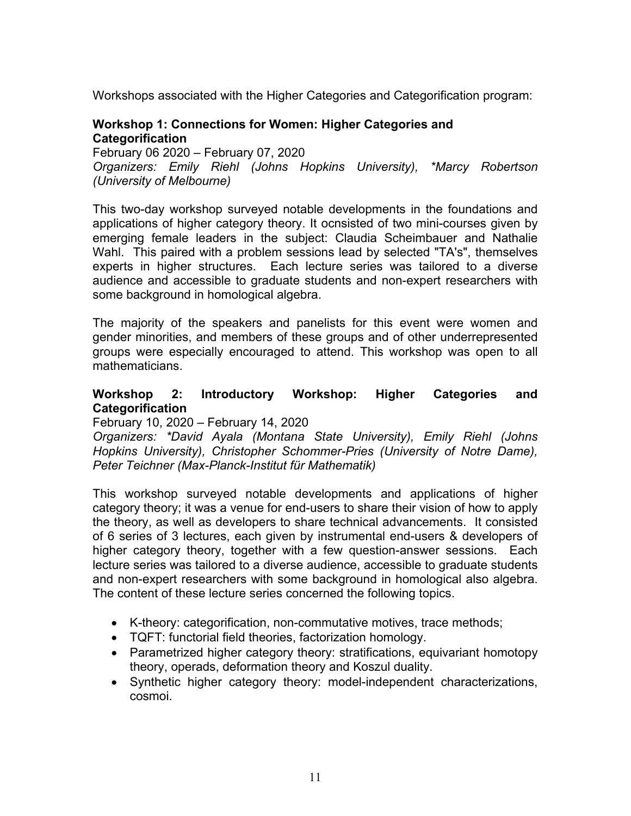Workshops associated with the Higher Categories and Categorification program:

#### **Workshop 1: Connections for Women: Higher Categories and Categorification**

February 06 2020 – February 07, 2020 *Organizers: Emily Riehl (Johns Hopkins University), \*Marcy Robertson (University of Melbourne)*

This two-day workshop surveyed notable developments in the foundations and applications of higher category theory. It ocnsisted of two mini-courses given by emerging female leaders in the subject: Claudia Scheimbauer and Nathalie Wahl. This paired with a problem sessions lead by selected "TA's", themselves experts in higher structures. Each lecture series was tailored to a diverse audience and accessible to graduate students and non-expert researchers with some background in homological algebra.

The majority of the speakers and panelists for this event were women and gender minorities, and members of these groups and of other underrepresented groups were especially encouraged to attend. This workshop was open to all mathematicians.

#### **Workshop 2: Introductory Workshop: Higher Categories and Categorification**

February 10, 2020 – February 14, 2020

*Organizers: \*David Ayala (Montana State University), Emily Riehl (Johns Hopkins University), Christopher Schommer-Pries (University of Notre Dame), Peter Teichner (Max-Planck-Institut für Mathematik)*

This workshop surveyed notable developments and applications of higher category theory; it was a venue for end-users to share their vision of how to apply the theory, as well as developers to share technical advancements. It consisted of 6 series of 3 lectures, each given by instrumental end-users & developers of higher category theory, together with a few question-answer sessions. Each lecture series was tailored to a diverse audience, accessible to graduate students and non-expert researchers with some background in homological also algebra. The content of these lecture series concerned the following topics.

- K-theory: categorification, non-commutative motives, trace methods;
- TQFT: functorial field theories, factorization homology.
- Parametrized higher category theory: stratifications, equivariant homotopy theory, operads, deformation theory and Koszul duality.
- Synthetic higher category theory: model-independent characterizations, cosmoi.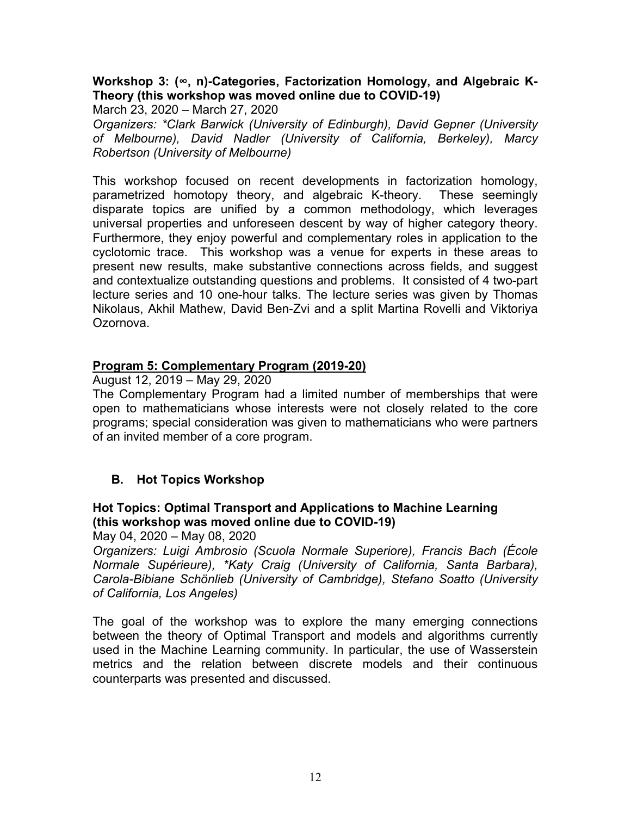#### **Workshop 3: (∞, n)-Categories, Factorization Homology, and Algebraic K-Theory (this workshop was moved online due to COVID-19)**

March 23, 2020 – March 27, 2020

*Organizers: \*Clark Barwick (University of Edinburgh), David Gepner (University of Melbourne), David Nadler (University of California, Berkeley), Marcy Robertson (University of Melbourne)*

This workshop focused on recent developments in factorization homology, parametrized homotopy theory, and algebraic K-theory. These seemingly disparate topics are unified by a common methodology, which leverages universal properties and unforeseen descent by way of higher category theory. Furthermore, they enjoy powerful and complementary roles in application to the cyclotomic trace. This workshop was a venue for experts in these areas to present new results, make substantive connections across fields, and suggest and contextualize outstanding questions and problems. It consisted of 4 two-part lecture series and 10 one-hour talks. The lecture series was given by Thomas Nikolaus, Akhil Mathew, David Ben-Zvi and a split Martina Rovelli and Viktoriya Ozornova.

#### **Program 5: Complementary Program (2019-20)**

August 12, 2019 – May 29, 2020

The Complementary Program had a limited number of memberships that were open to mathematicians whose interests were not closely related to the core programs; special consideration was given to mathematicians who were partners of an invited member of a core program.

## **B. Hot Topics Workshop**

#### **Hot Topics: Optimal Transport and Applications to Machine Learning (this workshop was moved online due to COVID-19)**

May 04, 2020 – May 08, 2020

*Organizers: Luigi Ambrosio (Scuola Normale Superiore), Francis Bach (École Normale Supérieure), \*Katy Craig (University of California, Santa Barbara), Carola-Bibiane Schönlieb (University of Cambridge), Stefano Soatto (University of California, Los Angeles)*

The goal of the workshop was to explore the many emerging connections between the theory of Optimal Transport and models and algorithms currently used in the Machine Learning community. In particular, the use of Wasserstein metrics and the relation between discrete models and their continuous counterparts was presented and discussed.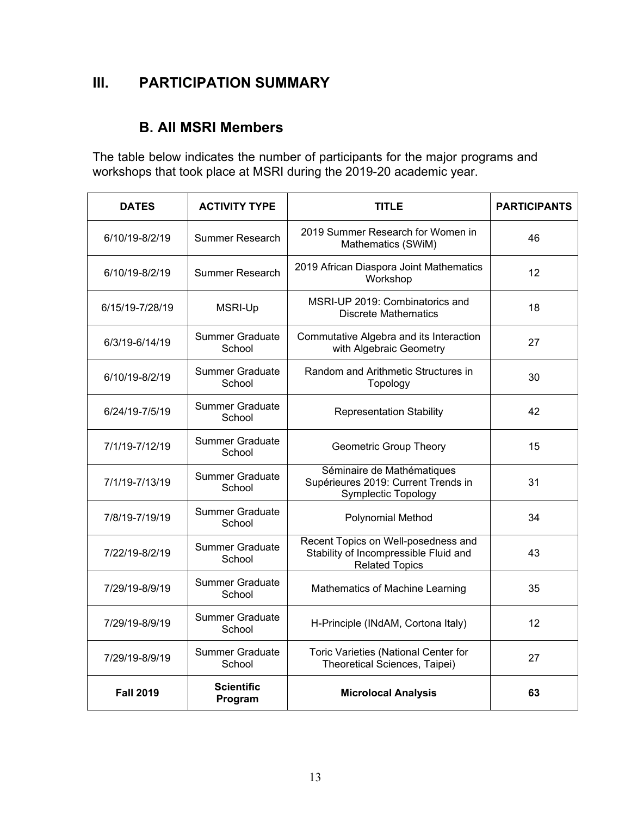## **III. PARTICIPATION SUMMARY**

## **B. All MSRI Members**

The table below indicates the number of participants for the major programs and workshops that took place at MSRI during the 2019-20 academic year.

| <b>DATES</b>                                     | <b>ACTIVITY TYPE</b>                                                                                      | <b>TITLE</b>                                                                                          | <b>PARTICIPANTS</b> |
|--------------------------------------------------|-----------------------------------------------------------------------------------------------------------|-------------------------------------------------------------------------------------------------------|---------------------|
| 6/10/19-8/2/19                                   | Summer Research                                                                                           | 2019 Summer Research for Women in<br>Mathematics (SWiM)                                               | 46                  |
| 6/10/19-8/2/19                                   | 2019 African Diaspora Joint Mathematics<br><b>Summer Research</b><br>Workshop                             |                                                                                                       | 12                  |
| 6/15/19-7/28/19                                  | <b>MSRI-Up</b>                                                                                            | MSRI-UP 2019: Combinatorics and<br><b>Discrete Mathematics</b>                                        | 18                  |
| 6/3/19-6/14/19                                   | <b>Summer Graduate</b><br>School                                                                          | Commutative Algebra and its Interaction<br>with Algebraic Geometry                                    | 27                  |
| 6/10/19-8/2/19                                   | Summer Graduate<br>School                                                                                 | Random and Arithmetic Structures in<br>Topology                                                       | 30                  |
| 6/24/19-7/5/19                                   | <b>Summer Graduate</b><br>School                                                                          | <b>Representation Stability</b>                                                                       | 42                  |
| 7/1/19-7/12/19                                   | <b>Summer Graduate</b><br>School                                                                          | <b>Geometric Group Theory</b>                                                                         | 15                  |
| 7/1/19-7/13/19                                   | <b>Summer Graduate</b><br>School                                                                          | Séminaire de Mathématiques<br>Supérieures 2019: Current Trends in<br>Symplectic Topology              | 31                  |
| 7/8/19-7/19/19                                   | <b>Summer Graduate</b><br>School                                                                          | Polynomial Method                                                                                     | 34                  |
| 7/22/19-8/2/19                                   | <b>Summer Graduate</b><br>School                                                                          | Recent Topics on Well-posedness and<br>Stability of Incompressible Fluid and<br><b>Related Topics</b> | 43                  |
| 7/29/19-8/9/19                                   | <b>Summer Graduate</b><br>School                                                                          | Mathematics of Machine Learning                                                                       | 35                  |
| 7/29/19-8/9/19                                   | <b>Summer Graduate</b><br>School                                                                          | H-Principle (INdAM, Cortona Italy)                                                                    | 12                  |
| 7/29/19-8/9/19                                   | <b>Summer Graduate</b><br>Toric Varieties (National Center for<br>Theoretical Sciences, Taipei)<br>School |                                                                                                       | 27                  |
| <b>Scientific</b><br><b>Fall 2019</b><br>Program |                                                                                                           | <b>Microlocal Analysis</b>                                                                            | 63                  |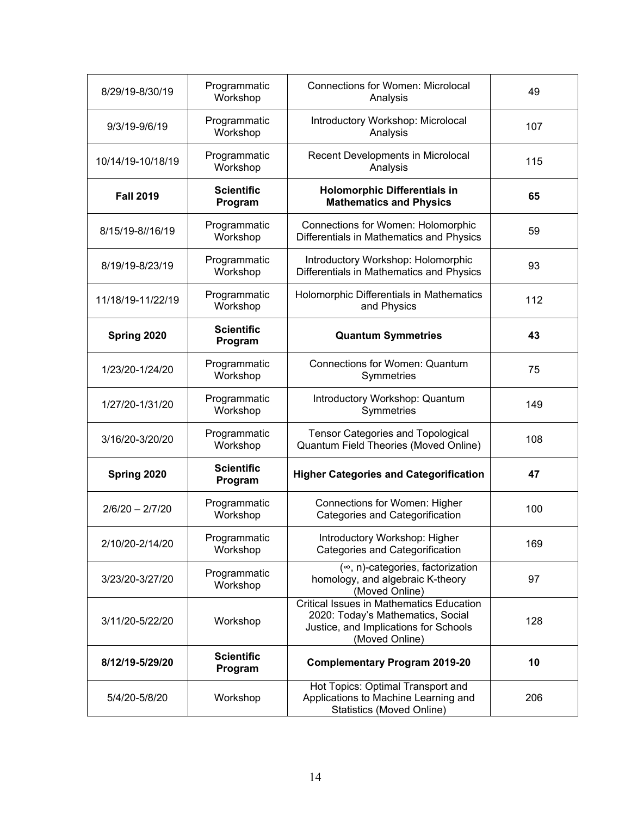| 8/29/19-8/30/19   | Programmatic<br><b>Connections for Women: Microlocal</b><br>Workshop<br>Analysis                                           |                                                                                                                                                 | 49  |
|-------------------|----------------------------------------------------------------------------------------------------------------------------|-------------------------------------------------------------------------------------------------------------------------------------------------|-----|
| 9/3/19-9/6/19     | Programmatic<br>Workshop                                                                                                   | Introductory Workshop: Microlocal<br>Analysis                                                                                                   | 107 |
| 10/14/19-10/18/19 | Programmatic<br>Workshop                                                                                                   | Recent Developments in Microlocal<br>Analysis                                                                                                   | 115 |
| <b>Fall 2019</b>  | <b>Scientific</b><br>Program                                                                                               | <b>Holomorphic Differentials in</b><br><b>Mathematics and Physics</b>                                                                           | 65  |
| 8/15/19-8//16/19  | Programmatic<br>Workshop                                                                                                   | Connections for Women: Holomorphic<br>Differentials in Mathematics and Physics                                                                  | 59  |
| 8/19/19-8/23/19   | Programmatic<br>Workshop                                                                                                   | Introductory Workshop: Holomorphic<br>Differentials in Mathematics and Physics                                                                  | 93  |
| 11/18/19-11/22/19 | Programmatic<br>Workshop                                                                                                   | Holomorphic Differentials in Mathematics<br>and Physics                                                                                         | 112 |
| Spring 2020       | <b>Scientific</b><br><b>Quantum Symmetries</b><br>Program                                                                  |                                                                                                                                                 | 43  |
| 1/23/20-1/24/20   | Programmatic<br>Workshop                                                                                                   | <b>Connections for Women: Quantum</b><br>Symmetries                                                                                             | 75  |
| 1/27/20-1/31/20   | Programmatic<br>Workshop                                                                                                   | Introductory Workshop: Quantum<br>Symmetries                                                                                                    | 149 |
| 3/16/20-3/20/20   | Programmatic<br>Workshop                                                                                                   | <b>Tensor Categories and Topological</b><br>Quantum Field Theories (Moved Online)                                                               | 108 |
| Spring 2020       | <b>Scientific</b><br>Program                                                                                               | <b>Higher Categories and Categorification</b>                                                                                                   | 47  |
| $2/6/20 - 2/7/20$ | Programmatic<br>Workshop                                                                                                   | Connections for Women: Higher<br>Categories and Categorification                                                                                | 100 |
| 2/10/20-2/14/20   | Programmatic<br>Workshop                                                                                                   | Introductory Workshop: Higher<br><b>Categories and Categorification</b>                                                                         | 169 |
| 3/23/20-3/27/20   | $(\infty, n)$ -categories, factorization<br>Programmatic<br>homology, and algebraic K-theory<br>Workshop<br>(Moved Online) |                                                                                                                                                 | 97  |
| 3/11/20-5/22/20   | Workshop                                                                                                                   | <b>Critical Issues in Mathematics Education</b><br>2020: Today's Mathematics, Social<br>Justice, and Implications for Schools<br>(Moved Online) | 128 |
| 8/12/19-5/29/20   | <b>Scientific</b><br>Program                                                                                               | <b>Complementary Program 2019-20</b>                                                                                                            | 10  |
| 5/4/20-5/8/20     | Hot Topics: Optimal Transport and<br>Applications to Machine Learning and<br>Workshop<br><b>Statistics (Moved Online)</b>  |                                                                                                                                                 | 206 |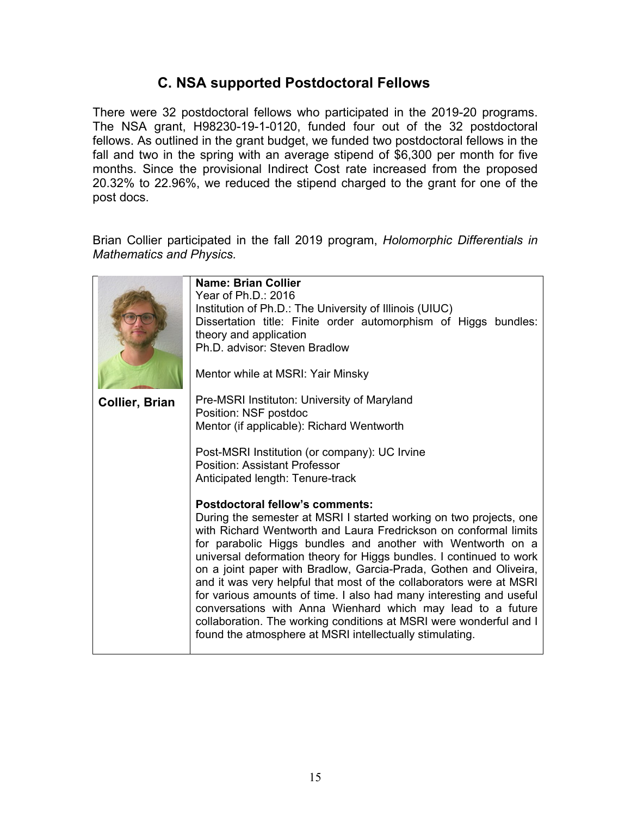## **C. NSA supported Postdoctoral Fellows**

There were 32 postdoctoral fellows who participated in the 2019-20 programs. The NSA grant, H98230-19-1-0120, funded four out of the 32 postdoctoral fellows. As outlined in the grant budget, we funded two postdoctoral fellows in the fall and two in the spring with an average stipend of \$6,300 per month for five months. Since the provisional Indirect Cost rate increased from the proposed 20.32% to 22.96%, we reduced the stipend charged to the grant for one of the post docs.

Brian Collier participated in the fall 2019 program, *Holomorphic Differentials in Mathematics and Physics.*

|                       | <b>Name: Brian Collier</b><br>Year of Ph.D.: 2016<br>Institution of Ph.D.: The University of Illinois (UIUC)<br>Dissertation title: Finite order automorphism of Higgs bundles:<br>theory and application<br>Ph.D. advisor: Steven Bradlow<br>Mentor while at MSRI: Yair Minsky                                                                                                                                                                                                                                                                                                                                                                                                                                                            |  |  |
|-----------------------|--------------------------------------------------------------------------------------------------------------------------------------------------------------------------------------------------------------------------------------------------------------------------------------------------------------------------------------------------------------------------------------------------------------------------------------------------------------------------------------------------------------------------------------------------------------------------------------------------------------------------------------------------------------------------------------------------------------------------------------------|--|--|
| <b>Collier, Brian</b> | Pre-MSRI Instituton: University of Maryland<br>Position: NSF postdoc                                                                                                                                                                                                                                                                                                                                                                                                                                                                                                                                                                                                                                                                       |  |  |
|                       | Mentor (if applicable): Richard Wentworth                                                                                                                                                                                                                                                                                                                                                                                                                                                                                                                                                                                                                                                                                                  |  |  |
|                       | Post-MSRI Institution (or company): UC Irvine<br><b>Position: Assistant Professor</b><br>Anticipated length: Tenure-track                                                                                                                                                                                                                                                                                                                                                                                                                                                                                                                                                                                                                  |  |  |
|                       | <b>Postdoctoral fellow's comments:</b><br>During the semester at MSRI I started working on two projects, one<br>with Richard Wentworth and Laura Fredrickson on conformal limits<br>for parabolic Higgs bundles and another with Wentworth on a<br>universal deformation theory for Higgs bundles. I continued to work<br>on a joint paper with Bradlow, Garcia-Prada, Gothen and Oliveira,<br>and it was very helpful that most of the collaborators were at MSRI<br>for various amounts of time. I also had many interesting and useful<br>conversations with Anna Wienhard which may lead to a future<br>collaboration. The working conditions at MSRI were wonderful and I<br>found the atmosphere at MSRI intellectually stimulating. |  |  |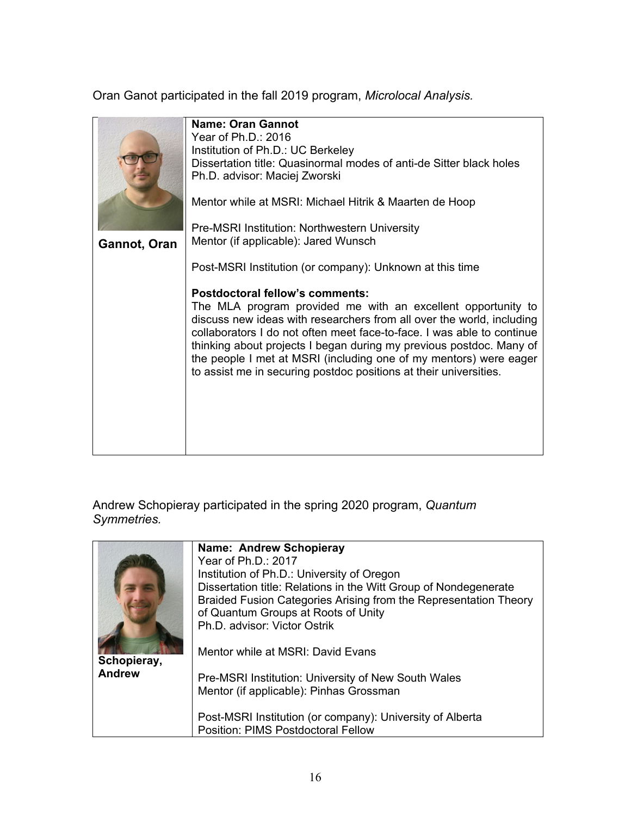Oran Ganot participated in the fall 2019 program, *Microlocal Analysis.*

|              | Name: Oran Gannot<br>Year of Ph.D.: 2016<br>Institution of Ph.D.: UC Berkeley<br>Dissertation title: Quasinormal modes of anti-de Sitter black holes<br>Ph.D. advisor: Maciej Zworski                                                                                                                                                                                                                                                                                      |
|--------------|----------------------------------------------------------------------------------------------------------------------------------------------------------------------------------------------------------------------------------------------------------------------------------------------------------------------------------------------------------------------------------------------------------------------------------------------------------------------------|
|              | Mentor while at MSRI: Michael Hitrik & Maarten de Hoop                                                                                                                                                                                                                                                                                                                                                                                                                     |
| Gannot, Oran | Pre-MSRI Institution: Northwestern University<br>Mentor (if applicable): Jared Wunsch                                                                                                                                                                                                                                                                                                                                                                                      |
|              | Post-MSRI Institution (or company): Unknown at this time                                                                                                                                                                                                                                                                                                                                                                                                                   |
|              | <b>Postdoctoral fellow's comments:</b><br>The MLA program provided me with an excellent opportunity to<br>discuss new ideas with researchers from all over the world, including<br>collaborators I do not often meet face-to-face. I was able to continue<br>thinking about projects I began during my previous postdoc. Many of<br>the people I met at MSRI (including one of my mentors) were eager<br>to assist me in securing postdoc positions at their universities. |

Andrew Schopieray participated in the spring 2020 program, *Quantum Symmetries.*

|               | Name: Andrew Schopieray                                                                         |
|---------------|-------------------------------------------------------------------------------------------------|
|               | Year of Ph.D.: 2017                                                                             |
|               | Institution of Ph.D.: University of Oregon                                                      |
|               | Dissertation title: Relations in the Witt Group of Nondegenerate                                |
|               | Braided Fusion Categories Arising from the Representation Theory                                |
|               | of Quantum Groups at Roots of Unity                                                             |
|               | Ph.D. advisor: Victor Ostrik                                                                    |
| Schopieray,   | Mentor while at MSRI: David Evans                                                               |
| <b>Andrew</b> | Pre-MSRI Institution: University of New South Wales                                             |
|               | Mentor (if applicable): Pinhas Grossman                                                         |
|               | Post-MSRI Institution (or company): University of Alberta<br>Position: PIMS Postdoctoral Fellow |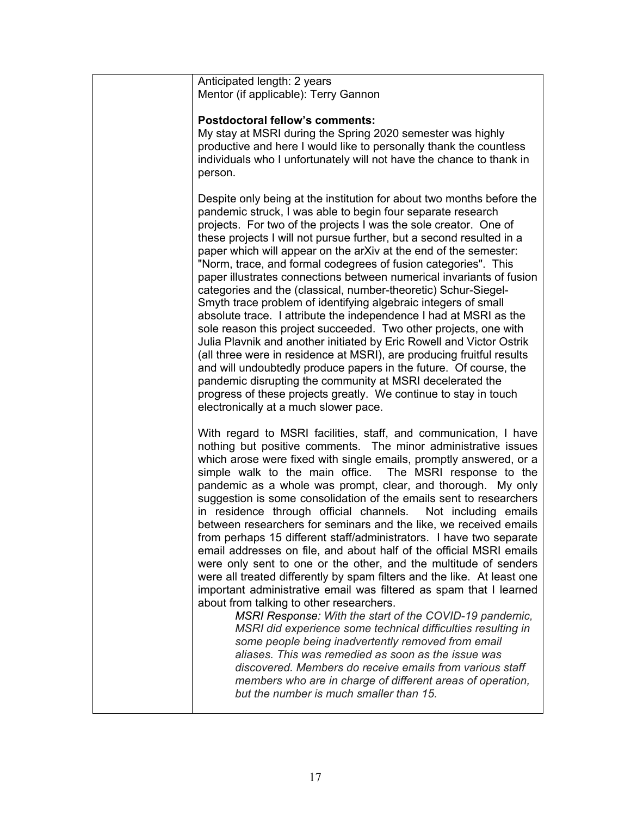| Anticipated length: 2 years<br>Mentor (if applicable): Terry Gannon                                                                                                                                                                                                                                                                                                                                                                                                                                                                                                                                                                                                                                                                                                                                                                                                                                                                                                                                                                                                                                                                                                                                                                                                                                                                                                         |
|-----------------------------------------------------------------------------------------------------------------------------------------------------------------------------------------------------------------------------------------------------------------------------------------------------------------------------------------------------------------------------------------------------------------------------------------------------------------------------------------------------------------------------------------------------------------------------------------------------------------------------------------------------------------------------------------------------------------------------------------------------------------------------------------------------------------------------------------------------------------------------------------------------------------------------------------------------------------------------------------------------------------------------------------------------------------------------------------------------------------------------------------------------------------------------------------------------------------------------------------------------------------------------------------------------------------------------------------------------------------------------|
| <b>Postdoctoral fellow's comments:</b><br>My stay at MSRI during the Spring 2020 semester was highly<br>productive and here I would like to personally thank the countless<br>individuals who I unfortunately will not have the chance to thank in<br>person.                                                                                                                                                                                                                                                                                                                                                                                                                                                                                                                                                                                                                                                                                                                                                                                                                                                                                                                                                                                                                                                                                                               |
| Despite only being at the institution for about two months before the<br>pandemic struck, I was able to begin four separate research<br>projects. For two of the projects I was the sole creator. One of<br>these projects I will not pursue further, but a second resulted in a<br>paper which will appear on the arXiv at the end of the semester:<br>"Norm, trace, and formal codegrees of fusion categories". This<br>paper illustrates connections between numerical invariants of fusion<br>categories and the (classical, number-theoretic) Schur-Siegel-<br>Smyth trace problem of identifying algebraic integers of small<br>absolute trace. I attribute the independence I had at MSRI as the<br>sole reason this project succeeded. Two other projects, one with<br>Julia Plavnik and another initiated by Eric Rowell and Victor Ostrik<br>(all three were in residence at MSRI), are producing fruitful results<br>and will undoubtedly produce papers in the future. Of course, the<br>pandemic disrupting the community at MSRI decelerated the<br>progress of these projects greatly. We continue to stay in touch<br>electronically at a much slower pace.                                                                                                                                                                                                 |
| With regard to MSRI facilities, staff, and communication, I have<br>nothing but positive comments. The minor administrative issues<br>which arose were fixed with single emails, promptly answered, or a<br>simple walk to the main office. The MSRI response to the<br>pandemic as a whole was prompt, clear, and thorough. My only<br>suggestion is some consolidation of the emails sent to researchers<br>in residence through official channels. Not including emails<br>between researchers for seminars and the like, we received emails<br>from perhaps 15 different staff/administrators. I have two separate<br>email addresses on file, and about half of the official MSRI emails<br>were only sent to one or the other, and the multitude of senders<br>were all treated differently by spam filters and the like. At least one<br>important administrative email was filtered as spam that I learned<br>about from talking to other researchers.<br>MSRI Response: With the start of the COVID-19 pandemic,<br>MSRI did experience some technical difficulties resulting in<br>some people being inadvertently removed from email<br>aliases. This was remedied as soon as the issue was<br>discovered. Members do receive emails from various staff<br>members who are in charge of different areas of operation,<br>but the number is much smaller than 15. |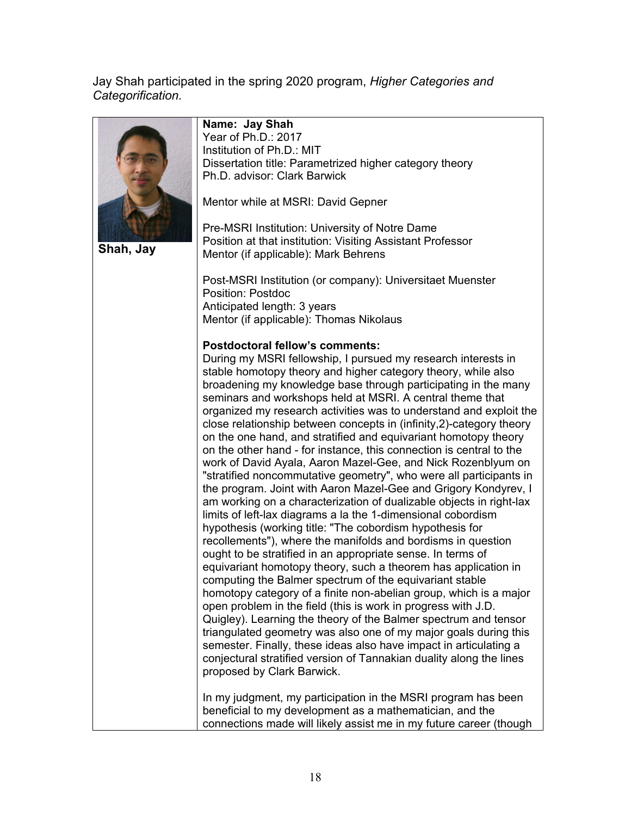Jay Shah participated in the spring 2020 program, *Higher Categories and Categorification.*



**Shah, Jay**

#### **Name: Jay Shah**

Year of Ph.D.: 2017 Institution of Ph.D.: MIT. Dissertation title: Parametrized higher category theory Ph.D. advisor: Clark Barwick

Mentor while at MSRI: David Gepner

Pre-MSRI Institution: University of Notre Dame Position at that institution: Visiting Assistant Professor Mentor (if applicable): Mark Behrens

Post-MSRI Institution (or company): Universitaet Muenster Position: Postdoc Anticipated length: 3 years Mentor (if applicable): Thomas Nikolaus

#### **Postdoctoral fellow's comments:**

During my MSRI fellowship, I pursued my research interests in stable homotopy theory and higher category theory, while also broadening my knowledge base through participating in the many seminars and workshops held at MSRI. A central theme that organized my research activities was to understand and exploit the close relationship between concepts in (infinity,2)-category theory on the one hand, and stratified and equivariant homotopy theory on the other hand - for instance, this connection is central to the work of David Ayala, Aaron Mazel-Gee, and Nick Rozenblyum on "stratified noncommutative geometry", who were all participants in the program. Joint with Aaron Mazel-Gee and Grigory Kondyrev, I am working on a characterization of dualizable objects in right-lax limits of left-lax diagrams a la the 1-dimensional cobordism hypothesis (working title: "The cobordism hypothesis for recollements"), where the manifolds and bordisms in question ought to be stratified in an appropriate sense. In terms of equivariant homotopy theory, such a theorem has application in computing the Balmer spectrum of the equivariant stable homotopy category of a finite non-abelian group, which is a major open problem in the field (this is work in progress with J.D. Quigley). Learning the theory of the Balmer spectrum and tensor triangulated geometry was also one of my major goals during this semester. Finally, these ideas also have impact in articulating a conjectural stratified version of Tannakian duality along the lines proposed by Clark Barwick.

In my judgment, my participation in the MSRI program has been beneficial to my development as a mathematician, and the connections made will likely assist me in my future career (though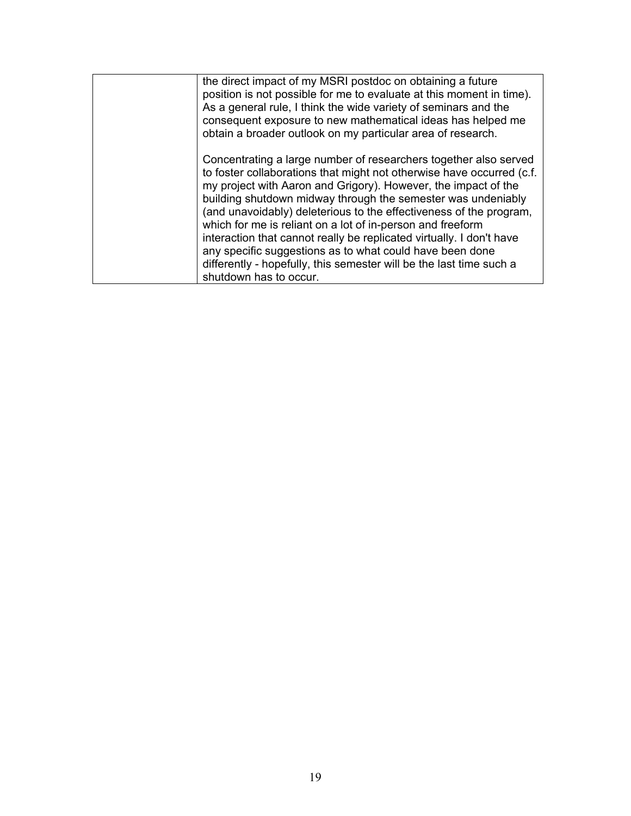| the direct impact of my MSRI postdoc on obtaining a future<br>position is not possible for me to evaluate at this moment in time).<br>As a general rule, I think the wide variety of seminars and the<br>consequent exposure to new mathematical ideas has helped me<br>obtain a broader outlook on my particular area of research.                                                                                                                                                                                                                                                                                                                  |
|------------------------------------------------------------------------------------------------------------------------------------------------------------------------------------------------------------------------------------------------------------------------------------------------------------------------------------------------------------------------------------------------------------------------------------------------------------------------------------------------------------------------------------------------------------------------------------------------------------------------------------------------------|
| Concentrating a large number of researchers together also served<br>to foster collaborations that might not otherwise have occurred (c.f.<br>my project with Aaron and Grigory). However, the impact of the<br>building shutdown midway through the semester was undeniably<br>(and unavoidably) deleterious to the effectiveness of the program,<br>which for me is reliant on a lot of in-person and freeform<br>interaction that cannot really be replicated virtually. I don't have<br>any specific suggestions as to what could have been done<br>differently - hopefully, this semester will be the last time such a<br>shutdown has to occur. |